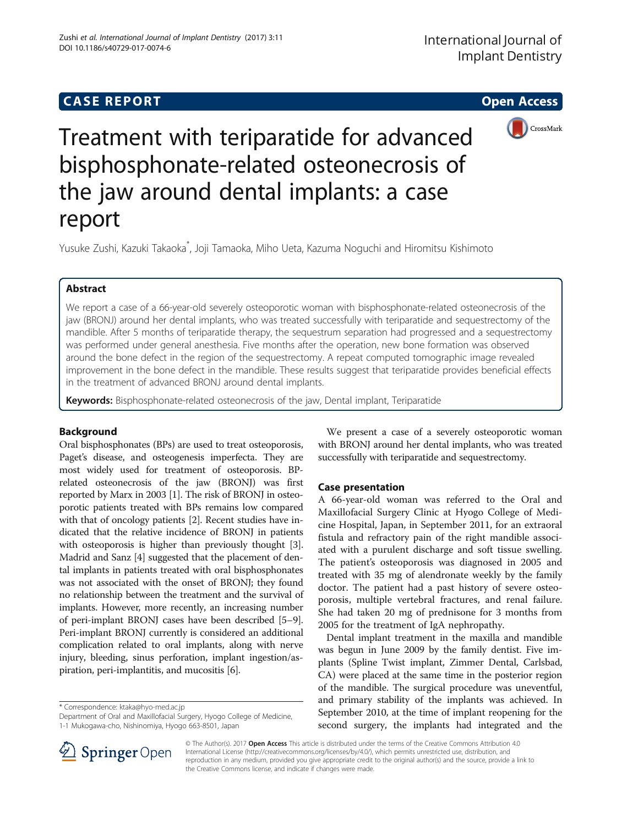

Treatment with teriparatide for advanced bisphosphonate-related osteonecrosis of the jaw around dental implants: a case report

Yusuke Zushi, Kazuki Takaoka<sup>\*</sup>, Joji Tamaoka, Miho Ueta, Kazuma Noguchi and Hiromitsu Kishimoto

## Abstract

We report a case of a 66-year-old severely osteoporotic woman with bisphosphonate-related osteonecrosis of the jaw (BRONJ) around her dental implants, who was treated successfully with teriparatide and sequestrectomy of the mandible. After 5 months of teriparatide therapy, the sequestrum separation had progressed and a sequestrectomy was performed under general anesthesia. Five months after the operation, new bone formation was observed around the bone defect in the region of the sequestrectomy. A repeat computed tomographic image revealed improvement in the bone defect in the mandible. These results suggest that teriparatide provides beneficial effects in the treatment of advanced BRONJ around dental implants.

Keywords: Bisphosphonate-related osteonecrosis of the jaw, Dental implant, Teriparatide

## Background

Oral bisphosphonates (BPs) are used to treat osteoporosis, Paget's disease, and osteogenesis imperfecta. They are most widely used for treatment of osteoporosis. BPrelated osteonecrosis of the jaw (BRONJ) was first reported by Marx in 2003 [[1\]](#page-4-0). The risk of BRONJ in osteoporotic patients treated with BPs remains low compared with that of oncology patients [[2\]](#page-4-0). Recent studies have indicated that the relative incidence of BRONJ in patients with osteoporosis is higher than previously thought [[3](#page-4-0)]. Madrid and Sanz [\[4](#page-4-0)] suggested that the placement of dental implants in patients treated with oral bisphosphonates was not associated with the onset of BRONJ; they found no relationship between the treatment and the survival of implants. However, more recently, an increasing number of peri-implant BRONJ cases have been described [[5](#page-4-0)–[9](#page-5-0)]. Peri-implant BRONJ currently is considered an additional complication related to oral implants, along with nerve injury, bleeding, sinus perforation, implant ingestion/aspiration, peri-implantitis, and mucositis [\[6](#page-4-0)].

\* Correspondence: [ktaka@hyo-med.ac.jp](mailto:ktaka@hyo-med.ac.jp)

We present a case of a severely osteoporotic woman with BRONJ around her dental implants, who was treated successfully with teriparatide and sequestrectomy.

## Case presentation

A 66-year-old woman was referred to the Oral and Maxillofacial Surgery Clinic at Hyogo College of Medicine Hospital, Japan, in September 2011, for an extraoral fistula and refractory pain of the right mandible associated with a purulent discharge and soft tissue swelling. The patient's osteoporosis was diagnosed in 2005 and treated with 35 mg of alendronate weekly by the family doctor. The patient had a past history of severe osteoporosis, multiple vertebral fractures, and renal failure. She had taken 20 mg of prednisone for 3 months from 2005 for the treatment of IgA nephropathy.

Dental implant treatment in the maxilla and mandible was begun in June 2009 by the family dentist. Five implants (Spline Twist implant, Zimmer Dental, Carlsbad, CA) were placed at the same time in the posterior region of the mandible. The surgical procedure was uneventful, and primary stability of the implants was achieved. In September 2010, at the time of implant reopening for the second surgery, the implants had integrated and the



© The Author(s). 2017 Open Access This article is distributed under the terms of the Creative Commons Attribution 4.0 International License ([http://creativecommons.org/licenses/by/4.0/\)](http://creativecommons.org/licenses/by/4.0/), which permits unrestricted use, distribution, and reproduction in any medium, provided you give appropriate credit to the original author(s) and the source, provide a link to the Creative Commons license, and indicate if changes were made.

Department of Oral and Maxillofacial Surgery, Hyogo College of Medicine, 1-1 Mukogawa-cho, Nishinomiya, Hyogo 663-8501, Japan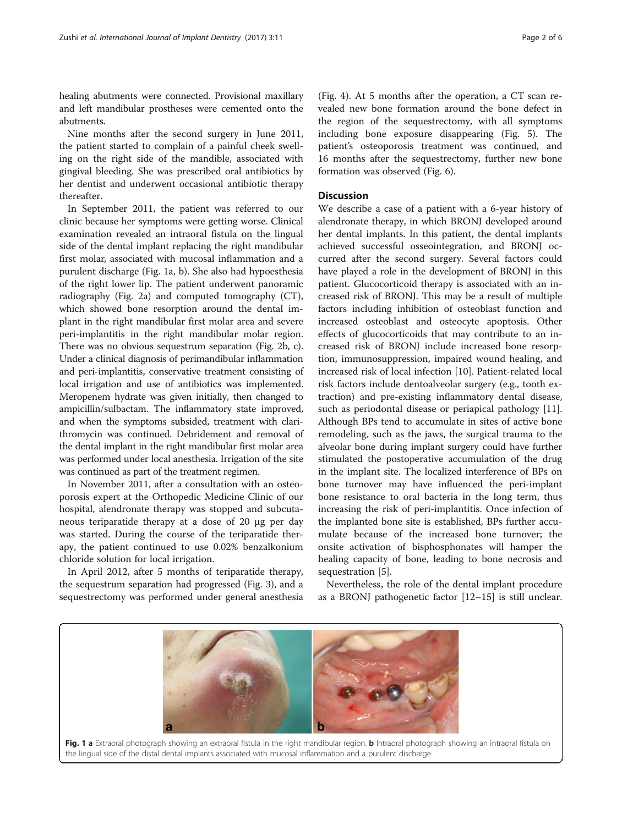healing abutments were connected. Provisional maxillary and left mandibular prostheses were cemented onto the abutments.

Nine months after the second surgery in June 2011, the patient started to complain of a painful cheek swelling on the right side of the mandible, associated with gingival bleeding. She was prescribed oral antibiotics by her dentist and underwent occasional antibiotic therapy thereafter.

In September 2011, the patient was referred to our clinic because her symptoms were getting worse. Clinical examination revealed an intraoral fistula on the lingual side of the dental implant replacing the right mandibular first molar, associated with mucosal inflammation and a purulent discharge (Fig. 1a, b). She also had hypoesthesia of the right lower lip. The patient underwent panoramic radiography (Fig. [2](#page-2-0)a) and computed tomography (CT), which showed bone resorption around the dental implant in the right mandibular first molar area and severe peri-implantitis in the right mandibular molar region. There was no obvious sequestrum separation (Fig. [2b](#page-2-0), c). Under a clinical diagnosis of perimandibular inflammation and peri-implantitis, conservative treatment consisting of local irrigation and use of antibiotics was implemented. Meropenem hydrate was given initially, then changed to ampicillin/sulbactam. The inflammatory state improved, and when the symptoms subsided, treatment with clarithromycin was continued. Debridement and removal of the dental implant in the right mandibular first molar area was performed under local anesthesia. Irrigation of the site was continued as part of the treatment regimen.

In November 2011, after a consultation with an osteoporosis expert at the Orthopedic Medicine Clinic of our hospital, alendronate therapy was stopped and subcutaneous teriparatide therapy at a dose of 20 μg per day was started. During the course of the teriparatide therapy, the patient continued to use 0.02% benzalkonium chloride solution for local irrigation.

In April 2012, after 5 months of teriparatide therapy, the sequestrum separation had progressed (Fig. [3](#page-2-0)), and a sequestrectomy was performed under general anesthesia

(Fig. [4\)](#page-3-0). At 5 months after the operation, a CT scan revealed new bone formation around the bone defect in the region of the sequestrectomy, with all symptoms including bone exposure disappearing (Fig. [5\)](#page-3-0). The patient's osteoporosis treatment was continued, and 16 months after the sequestrectomy, further new bone formation was observed (Fig. [6](#page-4-0)).

### Discussion

We describe a case of a patient with a 6-year history of alendronate therapy, in which BRONJ developed around her dental implants. In this patient, the dental implants achieved successful osseointegration, and BRONJ occurred after the second surgery. Several factors could have played a role in the development of BRONJ in this patient. Glucocorticoid therapy is associated with an increased risk of BRONJ. This may be a result of multiple factors including inhibition of osteoblast function and increased osteoblast and osteocyte apoptosis. Other effects of glucocorticoids that may contribute to an increased risk of BRONJ include increased bone resorption, immunosuppression, impaired wound healing, and increased risk of local infection [[10\]](#page-5-0). Patient-related local risk factors include dentoalveolar surgery (e.g., tooth extraction) and pre-existing inflammatory dental disease, such as periodontal disease or periapical pathology [\[11](#page-5-0)]. Although BPs tend to accumulate in sites of active bone remodeling, such as the jaws, the surgical trauma to the alveolar bone during implant surgery could have further stimulated the postoperative accumulation of the drug in the implant site. The localized interference of BPs on bone turnover may have influenced the peri-implant bone resistance to oral bacteria in the long term, thus increasing the risk of peri-implantitis. Once infection of the implanted bone site is established, BPs further accumulate because of the increased bone turnover; the onsite activation of bisphosphonates will hamper the healing capacity of bone, leading to bone necrosis and sequestration [\[5](#page-4-0)].

Nevertheless, the role of the dental implant procedure as a BRONJ pathogenetic factor [\[12](#page-5-0)–[15\]](#page-5-0) is still unclear.

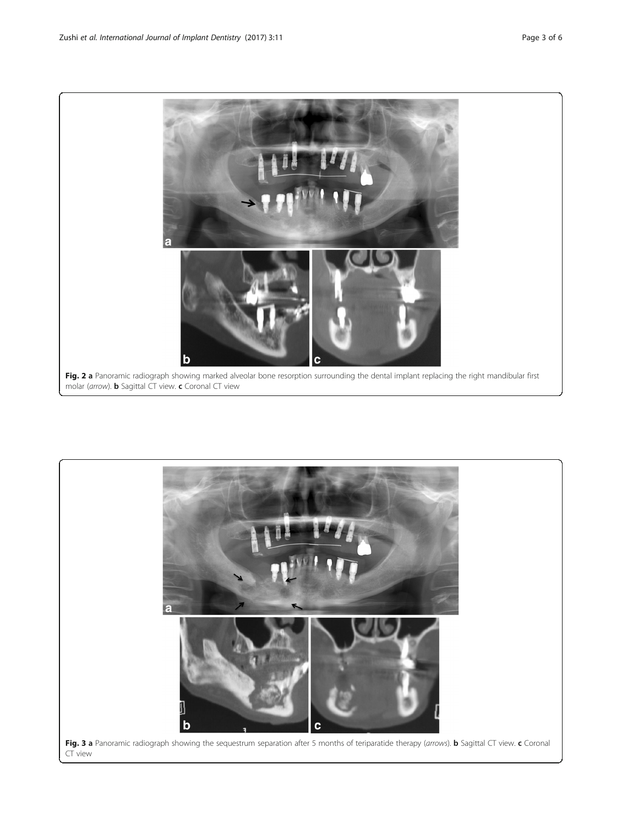<span id="page-2-0"></span>



CT view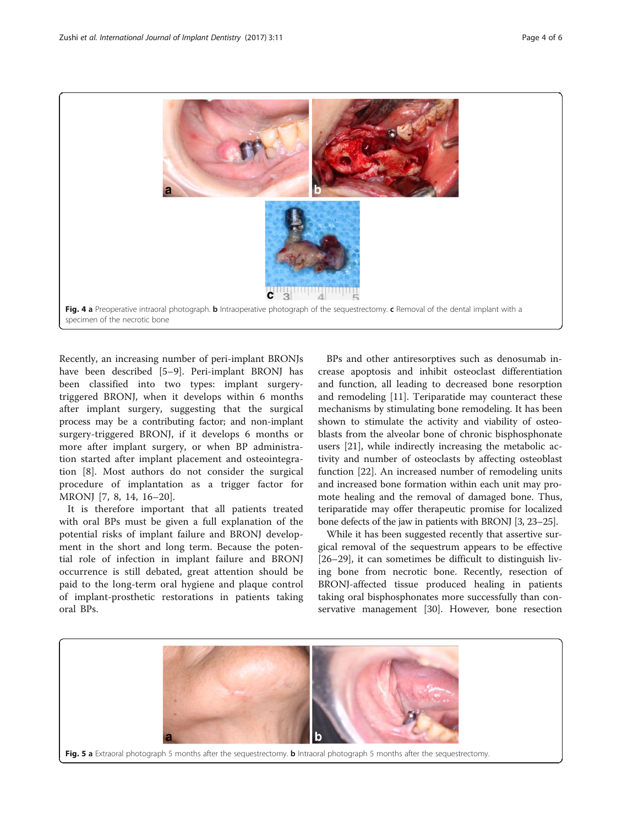<span id="page-3-0"></span>

Recently, an increasing number of peri-implant BRONJs have been described [\[5](#page-4-0)–[9](#page-5-0)]. Peri-implant BRONJ has been classified into two types: implant surgerytriggered BRONJ, when it develops within 6 months after implant surgery, suggesting that the surgical process may be a contributing factor; and non-implant surgery-triggered BRONJ, if it develops 6 months or more after implant surgery, or when BP administration started after implant placement and osteointegration [\[8](#page-4-0)]. Most authors do not consider the surgical procedure of implantation as a trigger factor for MRONJ [[7, 8,](#page-4-0) [14](#page-5-0), [16](#page-5-0)–[20](#page-5-0)].

It is therefore important that all patients treated with oral BPs must be given a full explanation of the potential risks of implant failure and BRONJ development in the short and long term. Because the potential role of infection in implant failure and BRONJ occurrence is still debated, great attention should be paid to the long-term oral hygiene and plaque control of implant-prosthetic restorations in patients taking oral BPs.

BPs and other antiresorptives such as denosumab increase apoptosis and inhibit osteoclast differentiation and function, all leading to decreased bone resorption and remodeling [[11](#page-5-0)]. Teriparatide may counteract these mechanisms by stimulating bone remodeling. It has been shown to stimulate the activity and viability of osteoblasts from the alveolar bone of chronic bisphosphonate users [[21\]](#page-5-0), while indirectly increasing the metabolic activity and number of osteoclasts by affecting osteoblast function [[22](#page-5-0)]. An increased number of remodeling units and increased bone formation within each unit may promote healing and the removal of damaged bone. Thus, teriparatide may offer therapeutic promise for localized bone defects of the jaw in patients with BRONJ [[3](#page-4-0), [23](#page-5-0)–[25\]](#page-5-0).

While it has been suggested recently that assertive surgical removal of the sequestrum appears to be effective [[26](#page-5-0)–[29](#page-5-0)], it can sometimes be difficult to distinguish living bone from necrotic bone. Recently, resection of BRONJ-affected tissue produced healing in patients taking oral bisphosphonates more successfully than conservative management [\[30\]](#page-5-0). However, bone resection

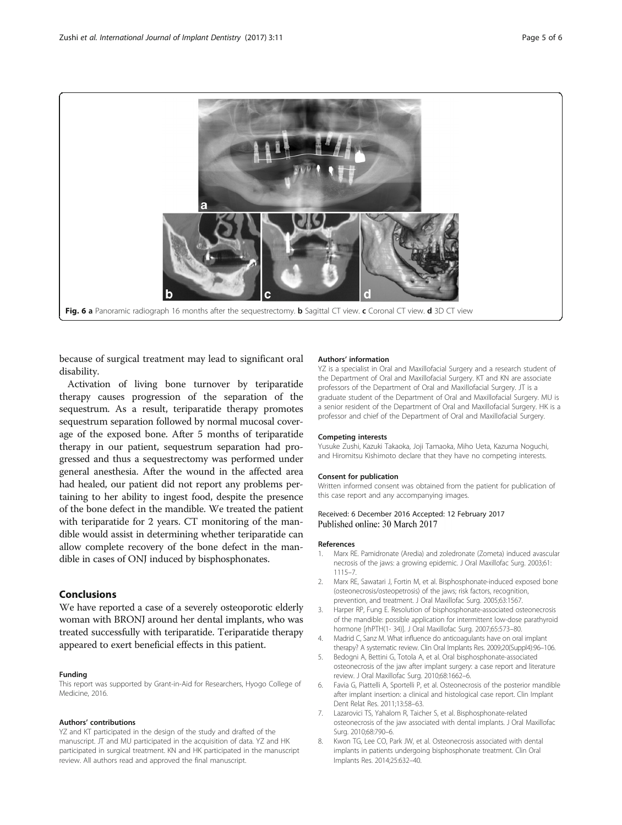<span id="page-4-0"></span>

because of surgical treatment may lead to significant oral disability.

Activation of living bone turnover by teriparatide therapy causes progression of the separation of the sequestrum. As a result, teriparatide therapy promotes sequestrum separation followed by normal mucosal coverage of the exposed bone. After 5 months of teriparatide therapy in our patient, sequestrum separation had progressed and thus a sequestrectomy was performed under general anesthesia. After the wound in the affected area had healed, our patient did not report any problems pertaining to her ability to ingest food, despite the presence of the bone defect in the mandible. We treated the patient with teriparatide for 2 years. CT monitoring of the mandible would assist in determining whether teriparatide can allow complete recovery of the bone defect in the mandible in cases of ONJ induced by bisphosphonates.

## Conclusions

We have reported a case of a severely osteoporotic elderly woman with BRONJ around her dental implants, who was treated successfully with teriparatide. Teriparatide therapy appeared to exert beneficial effects in this patient.

#### Funding

This report was supported by Grant-in-Aid for Researchers, Hyogo College of Medicine, 2016.

#### Authors' contributions

YZ and KT participated in the design of the study and drafted of the manuscript. JT and MU participated in the acquisition of data. YZ and HK participated in surgical treatment. KN and HK participated in the manuscript review. All authors read and approved the final manuscript.

#### Authors' information

YZ is a specialist in Oral and Maxillofacial Surgery and a research student of the Department of Oral and Maxillofacial Surgery. KT and KN are associate professors of the Department of Oral and Maxillofacial Surgery. JT is a graduate student of the Department of Oral and Maxillofacial Surgery. MU is a senior resident of the Department of Oral and Maxillofacial Surgery. HK is a professor and chief of the Department of Oral and Maxillofacial Surgery.

#### Competing interests

Yusuke Zushi, Kazuki Takaoka, Joji Tamaoka, Miho Ueta, Kazuma Noguchi, and Hiromitsu Kishimoto declare that they have no competing interests.

#### Consent for publication

Written informed consent was obtained from the patient for publication of this case report and any accompanying images.

### Received: 6 December 2016 Accepted: 12 February 2017 Published online: 30 March 2017

#### References

- 1. Marx RE. Pamidronate (Aredia) and zoledronate (Zometa) induced avascular necrosis of the jaws: a growing epidemic. J Oral Maxillofac Surg. 2003;61: 1115–7.
- 2. Marx RE, Sawatari J, Fortin M, et al. Bisphosphonate-induced exposed bone (osteonecrosis/osteopetrosis) of the jaws; risk factors, recognition, prevention, and treatment. J Oral Maxillofac Surg. 2005;63:1567.
- 3. Harper RP, Fung E. Resolution of bisphosphonate-associated osteonecrosis of the mandible: possible application for intermittent low-dose parathyroid hormone [rhPTH(1- 34)]. J Oral Maxillofac Surg. 2007;65:573–80.
- 4. Madrid C, Sanz M. What influence do anticoagulants have on oral implant therapy? A systematic review. Clin Oral Implants Res. 2009;20(Suppl4):96–106.
- 5. Bedogni A, Bettini G, Totola A, et al. Oral bisphosphonate-associated osteonecrosis of the jaw after implant surgery: a case report and literature review. J Oral Maxillofac Surg. 2010;68:1662–6.
- 6. Favia G, Piattelli A, Sportelli P, et al. Osteonecrosis of the posterior mandible after implant insertion: a clinical and histological case report. Clin Implant Dent Relat Res. 2011;13:58–63.
- 7. Lazarovici TS, Yahalom R, Taicher S, et al. Bisphosphonate-related osteonecrosis of the jaw associated with dental implants. J Oral Maxillofac Surg. 2010;68:790–6.
- 8. Kwon TG, Lee CO, Park JW, et al. Osteonecrosis associated with dental implants in patients undergoing bisphosphonate treatment. Clin Oral Implants Res. 2014;25:632–40.